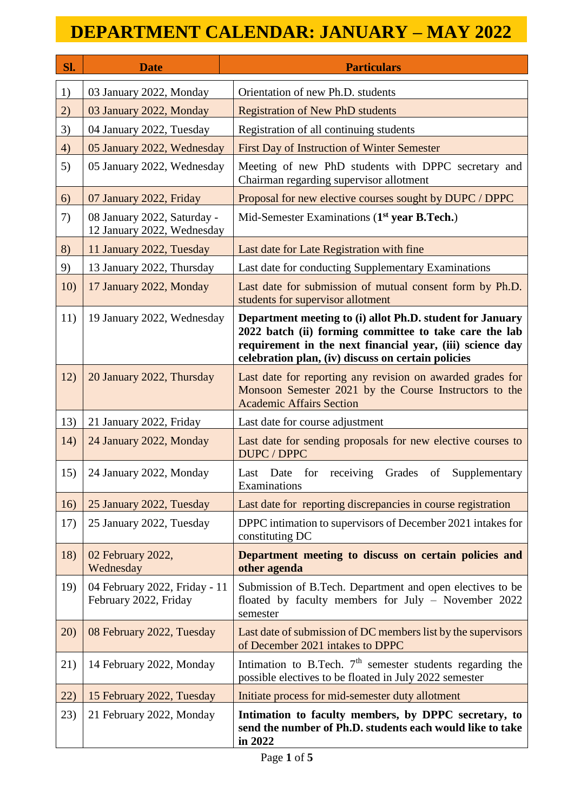| Sl. | <b>Date</b>                                               | <b>Particulars</b>                                                                                                                                                                                                                     |
|-----|-----------------------------------------------------------|----------------------------------------------------------------------------------------------------------------------------------------------------------------------------------------------------------------------------------------|
| 1)  | 03 January 2022, Monday                                   | Orientation of new Ph.D. students                                                                                                                                                                                                      |
| 2)  | 03 January 2022, Monday                                   | <b>Registration of New PhD students</b>                                                                                                                                                                                                |
| 3)  | 04 January 2022, Tuesday                                  | Registration of all continuing students                                                                                                                                                                                                |
| 4)  | 05 January 2022, Wednesday                                | First Day of Instruction of Winter Semester                                                                                                                                                                                            |
| 5)  | 05 January 2022, Wednesday                                | Meeting of new PhD students with DPPC secretary and<br>Chairman regarding supervisor allotment                                                                                                                                         |
| 6)  | 07 January 2022, Friday                                   | Proposal for new elective courses sought by DUPC / DPPC                                                                                                                                                                                |
| 7)  | 08 January 2022, Saturday -<br>12 January 2022, Wednesday | Mid-Semester Examinations (1 <sup>st</sup> year B.Tech.)                                                                                                                                                                               |
| 8)  | 11 January 2022, Tuesday                                  | Last date for Late Registration with fine                                                                                                                                                                                              |
| 9)  | 13 January 2022, Thursday                                 | Last date for conducting Supplementary Examinations                                                                                                                                                                                    |
| 10) | 17 January 2022, Monday                                   | Last date for submission of mutual consent form by Ph.D.<br>students for supervisor allotment                                                                                                                                          |
| 11) | 19 January 2022, Wednesday                                | Department meeting to (i) allot Ph.D. student for January<br>2022 batch (ii) forming committee to take care the lab<br>requirement in the next financial year, (iii) science day<br>celebration plan, (iv) discuss on certain policies |
| 12) | 20 January 2022, Thursday                                 | Last date for reporting any revision on awarded grades for<br>Monsoon Semester 2021 by the Course Instructors to the<br><b>Academic Affairs Section</b>                                                                                |
| 13) | 21 January 2022, Friday                                   | Last date for course adjustment                                                                                                                                                                                                        |
| 14) | 24 January 2022, Monday                                   | Last date for sending proposals for new elective courses to<br>DUPC / DPPC                                                                                                                                                             |
| 15) | 24 January 2022, Monday                                   | Grades<br>Last Date for receiving<br>of<br>Supplementary<br>Examinations                                                                                                                                                               |
| 16) | 25 January 2022, Tuesday                                  | Last date for reporting discrepancies in course registration                                                                                                                                                                           |
| 17) | 25 January 2022, Tuesday                                  | DPPC intimation to supervisors of December 2021 intakes for<br>constituting DC                                                                                                                                                         |
| 18) | 02 February 2022,<br>Wednesday                            | Department meeting to discuss on certain policies and<br>other agenda                                                                                                                                                                  |
| 19) | 04 February 2022, Friday - 11<br>February 2022, Friday    | Submission of B.Tech. Department and open electives to be<br>floated by faculty members for July - November 2022<br>semester                                                                                                           |
| 20) | 08 February 2022, Tuesday                                 | Last date of submission of DC members list by the supervisors<br>of December 2021 intakes to DPPC                                                                                                                                      |
| 21) | 14 February 2022, Monday                                  | Intimation to B.Tech. $7th$ semester students regarding the<br>possible electives to be floated in July 2022 semester                                                                                                                  |
| 22) | 15 February 2022, Tuesday                                 | Initiate process for mid-semester duty allotment                                                                                                                                                                                       |
| 23) | 21 February 2022, Monday                                  | Intimation to faculty members, by DPPC secretary, to<br>send the number of Ph.D. students each would like to take<br>in 2022                                                                                                           |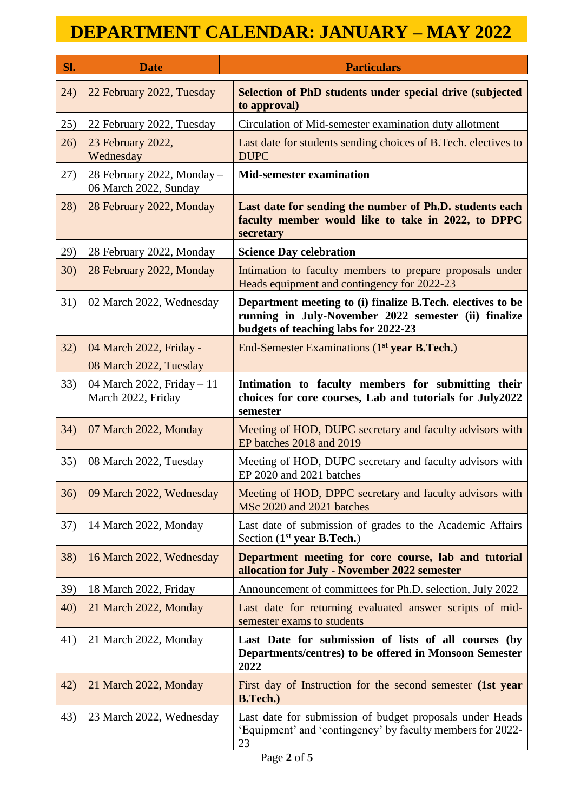| Sl.  | <b>Date</b>                                         | <b>Particulars</b>                                                                                                                                         |
|------|-----------------------------------------------------|------------------------------------------------------------------------------------------------------------------------------------------------------------|
| (24) | 22 February 2022, Tuesday                           | <b>Selection of PhD students under special drive (subjected)</b><br>to approval)                                                                           |
| 25)  | 22 February 2022, Tuesday                           | Circulation of Mid-semester examination duty allotment                                                                                                     |
| 26)  | 23 February 2022,<br>Wednesday                      | Last date for students sending choices of B. Tech. electives to<br><b>DUPC</b>                                                                             |
| 27)  | 28 February 2022, Monday -<br>06 March 2022, Sunday | <b>Mid-semester examination</b>                                                                                                                            |
| 28)  | 28 February 2022, Monday                            | Last date for sending the number of Ph.D. students each<br>faculty member would like to take in 2022, to DPPC<br>secretary                                 |
| 29)  | 28 February 2022, Monday                            | <b>Science Day celebration</b>                                                                                                                             |
| 30)  | 28 February 2022, Monday                            | Intimation to faculty members to prepare proposals under<br>Heads equipment and contingency for 2022-23                                                    |
| 31)  | 02 March 2022, Wednesday                            | Department meeting to (i) finalize B.Tech. electives to be<br>running in July-November 2022 semester (ii) finalize<br>budgets of teaching labs for 2022-23 |
| 32)  | 04 March 2022, Friday -                             | End-Semester Examinations (1 <sup>st</sup> year B.Tech.)                                                                                                   |
|      | 08 March 2022, Tuesday                              |                                                                                                                                                            |
| 33)  | 04 March 2022, Friday $-11$<br>March 2022, Friday   | Intimation to faculty members for submitting their<br>choices for core courses, Lab and tutorials for July2022<br>semester                                 |
| 34)  | 07 March 2022, Monday                               | Meeting of HOD, DUPC secretary and faculty advisors with<br>EP batches 2018 and 2019                                                                       |
| 35)  | 08 March 2022, Tuesday                              | Meeting of HOD, DUPC secretary and faculty advisors with<br>EP 2020 and 2021 batches                                                                       |
| 36)  | 09 March 2022, Wednesday                            | Meeting of HOD, DPPC secretary and faculty advisors with<br>MSc 2020 and 2021 batches                                                                      |
| 37)  | 14 March 2022, Monday                               | Last date of submission of grades to the Academic Affairs<br>Section $(1st$ year B.Tech.)                                                                  |
| 38)  | 16 March 2022, Wednesday                            | Department meeting for core course, lab and tutorial<br>allocation for July - November 2022 semester                                                       |
| 39)  | 18 March 2022, Friday                               | Announcement of committees for Ph.D. selection, July 2022                                                                                                  |
| 40)  | 21 March 2022, Monday                               | Last date for returning evaluated answer scripts of mid-<br>semester exams to students                                                                     |
| 41)  | 21 March 2022, Monday                               | Last Date for submission of lists of all courses (by<br>Departments/centres) to be offered in Monsoon Semester<br>2022                                     |
| 42)  | 21 March 2022, Monday                               | First day of Instruction for the second semester (1st year<br><b>B.Tech.</b> )                                                                             |
| 43)  | 23 March 2022, Wednesday                            | Last date for submission of budget proposals under Heads<br>'Equipment' and 'contingency' by faculty members for 2022-<br>23                               |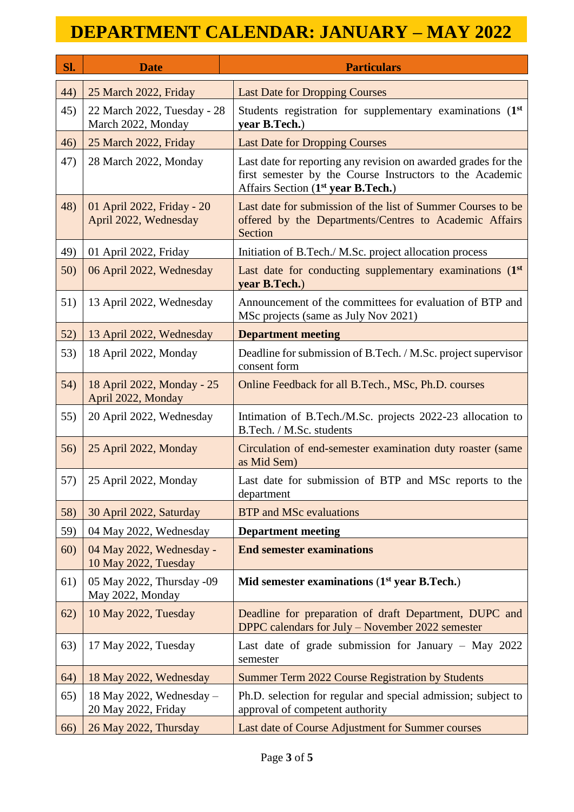| Sl. | <b>Date</b>                                         | <b>Particulars</b>                                                                                                                                                           |
|-----|-----------------------------------------------------|------------------------------------------------------------------------------------------------------------------------------------------------------------------------------|
| 44) | 25 March 2022, Friday                               | <b>Last Date for Dropping Courses</b>                                                                                                                                        |
| 45) | 22 March 2022, Tuesday - 28<br>March 2022, Monday   | Students registration for supplementary examinations (1st<br>year B.Tech.)                                                                                                   |
| 46) | 25 March 2022, Friday                               | <b>Last Date for Dropping Courses</b>                                                                                                                                        |
| 47) | 28 March 2022, Monday                               | Last date for reporting any revision on awarded grades for the<br>first semester by the Course Instructors to the Academic<br>Affairs Section (1 <sup>st</sup> year B.Tech.) |
| 48) | 01 April 2022, Friday - 20<br>April 2022, Wednesday | Last date for submission of the list of Summer Courses to be<br>offered by the Departments/Centres to Academic Affairs<br>Section                                            |
| 49) | 01 April 2022, Friday                               | Initiation of B.Tech./ M.Sc. project allocation process                                                                                                                      |
| 50) | 06 April 2022, Wednesday                            | Last date for conducting supplementary examinations (1st<br>year B.Tech.)                                                                                                    |
| 51) | 13 April 2022, Wednesday                            | Announcement of the committees for evaluation of BTP and<br>MSc projects (same as July Nov 2021)                                                                             |
| 52) | 13 April 2022, Wednesday                            | <b>Department meeting</b>                                                                                                                                                    |
| 53) | 18 April 2022, Monday                               | Deadline for submission of B.Tech. / M.Sc. project supervisor<br>consent form                                                                                                |
| 54) | 18 April 2022, Monday - 25<br>April 2022, Monday    | Online Feedback for all B.Tech., MSc, Ph.D. courses                                                                                                                          |
| 55) | 20 April 2022, Wednesday                            | Intimation of B.Tech./M.Sc. projects 2022-23 allocation to<br>B.Tech. / M.Sc. students                                                                                       |
| 56) | 25 April 2022, Monday                               | Circulation of end-semester examination duty roaster (same<br>as Mid Sem)                                                                                                    |
| 57) | 25 April 2022, Monday                               | Last date for submission of BTP and MSc reports to the<br>department                                                                                                         |
| 58) | 30 April 2022, Saturday                             | <b>BTP</b> and MSc evaluations                                                                                                                                               |
| 59) | 04 May 2022, Wednesday                              | <b>Department meeting</b>                                                                                                                                                    |
| 60) | 04 May 2022, Wednesday -<br>10 May 2022, Tuesday    | <b>End semester examinations</b>                                                                                                                                             |
| 61) | 05 May 2022, Thursday -09<br>May 2022, Monday       | Mid semester examinations (1st year B.Tech.)                                                                                                                                 |
| 62) | 10 May 2022, Tuesday                                | Deadline for preparation of draft Department, DUPC and<br>DPPC calendars for July – November 2022 semester                                                                   |
| 63) | 17 May 2022, Tuesday                                | Last date of grade submission for January $-$ May 2022<br>semester                                                                                                           |
| 64) | 18 May 2022, Wednesday                              | Summer Term 2022 Course Registration by Students                                                                                                                             |
| 65) | 18 May 2022, Wednesday $-$<br>20 May 2022, Friday   | Ph.D. selection for regular and special admission; subject to<br>approval of competent authority                                                                             |
| 66) | 26 May 2022, Thursday                               | Last date of Course Adjustment for Summer courses                                                                                                                            |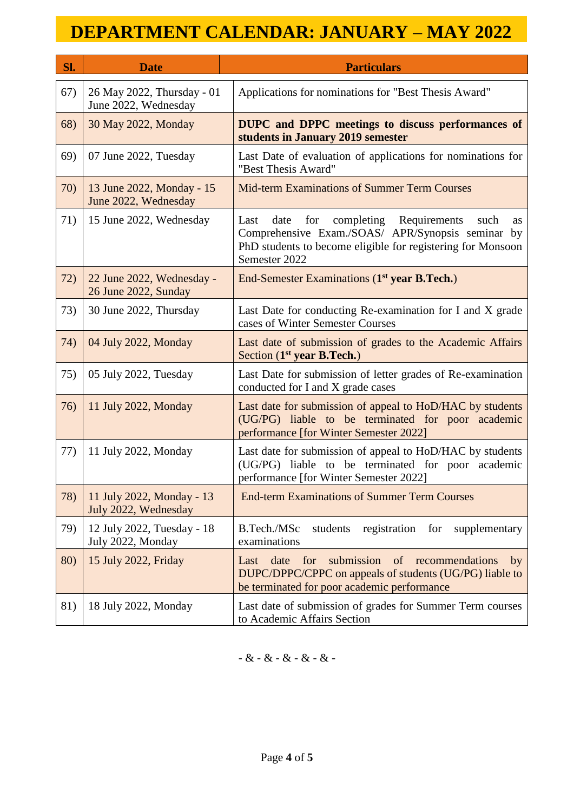| Sl. | <b>Date</b>                                        | <b>Particulars</b>                                                                                                                                                                                          |
|-----|----------------------------------------------------|-------------------------------------------------------------------------------------------------------------------------------------------------------------------------------------------------------------|
| 67) | 26 May 2022, Thursday - 01<br>June 2022, Wednesday | Applications for nominations for "Best Thesis Award"                                                                                                                                                        |
| 68) | 30 May 2022, Monday                                | <b>DUPC</b> and DPPC meetings to discuss performances of<br>students in January 2019 semester                                                                                                               |
| 69) | 07 June 2022, Tuesday                              | Last Date of evaluation of applications for nominations for<br>"Best Thesis Award"                                                                                                                          |
| 70) | 13 June 2022, Monday - 15<br>June 2022, Wednesday  | Mid-term Examinations of Summer Term Courses                                                                                                                                                                |
| 71) | 15 June 2022, Wednesday                            | Last<br>date<br>for<br>completing<br>Requirements<br>such<br><b>as</b><br>Comprehensive Exam./SOAS/ APR/Synopsis seminar by<br>PhD students to become eligible for registering for Monsoon<br>Semester 2022 |
| 72) | 22 June 2022, Wednesday -<br>26 June 2022, Sunday  | End-Semester Examinations (1 <sup>st</sup> year B.Tech.)                                                                                                                                                    |
| 73) | 30 June 2022, Thursday                             | Last Date for conducting Re-examination for I and X grade<br>cases of Winter Semester Courses                                                                                                               |
| 74) | 04 July 2022, Monday                               | Last date of submission of grades to the Academic Affairs<br>Section (1 <sup>st</sup> year B.Tech.)                                                                                                         |
| 75) | 05 July 2022, Tuesday                              | Last Date for submission of letter grades of Re-examination<br>conducted for I and X grade cases                                                                                                            |
| 76) | 11 July 2022, Monday                               | Last date for submission of appeal to HoD/HAC by students<br>(UG/PG) liable to be terminated for poor academic<br>performance [for Winter Semester 2022]                                                    |
| 77) | 11 July 2022, Monday                               | Last date for submission of appeal to HoD/HAC by students<br>(UG/PG) liable to be terminated for poor academic<br>performance [for Winter Semester 2022]                                                    |
| 78) | 11 July 2022, Monday - 13<br>July 2022, Wednesday  | <b>End-term Examinations of Summer Term Courses</b>                                                                                                                                                         |
| 79) | 12 July 2022, Tuesday - 18<br>July 2022, Monday    | B.Tech./MSc<br>registration<br>supplementary<br>students<br>for<br>examinations                                                                                                                             |
| 80) | 15 July 2022, Friday                               | submission<br>date<br>of<br>for<br>recommendations<br>Last<br>by<br>DUPC/DPPC/CPPC on appeals of students (UG/PG) liable to<br>be terminated for poor academic performance                                  |
| 81) | 18 July 2022, Monday                               | Last date of submission of grades for Summer Term courses<br>to Academic Affairs Section                                                                                                                    |

 $-$  &  $-$  &  $-$  &  $-$  &  $-$